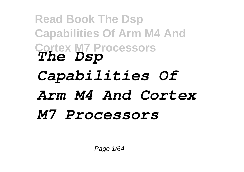# **Read Book The Dsp Capabilities Of Arm M4 And Cortex M7 Processors** *The Dsp Capabilities Of Arm M4 And Cortex M7 Processors*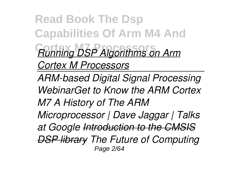**Read Book The Dsp Capabilities Of Arm M4 And Cortex M7 Processors** *Running DSP Algorithms on Arm Cortex M Processors*

*ARM-based Digital Signal Processing WebinarGet to Know the ARM Cortex M7 A History of The ARM Microprocessor | Dave Jaggar | Talks at Google Introduction to the CMSIS DSP library The Future of Computing* Page 2/64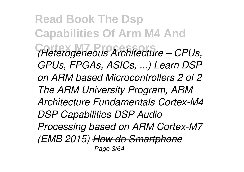**Read Book The Dsp Capabilities Of Arm M4 And Cortex M7 Processors** *(Heterogeneous Architecture – CPUs, GPUs, FPGAs, ASICs, ...) Learn DSP on ARM based Microcontrollers 2 of 2 The ARM University Program, ARM Architecture Fundamentals Cortex-M4 DSP Capabilities DSP Audio Processing based on ARM Cortex-M7 (EMB 2015) How do Smartphone* Page 3/64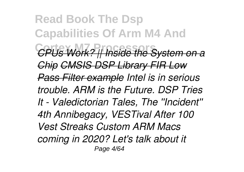**Read Book The Dsp Capabilities Of Arm M4 And Cortex M7 Processors** *CPUs Work? || Inside the System on a Chip CMSIS DSP Library FIR Low Pass Filter example Intel is in serious trouble. ARM is the Future. DSP Tries It - Valedictorian Tales, The ''Incident'' 4th Annibegacy, VESTival After 100 Vest Streaks Custom ARM Macs coming in 2020? Let's talk about it* Page 4/64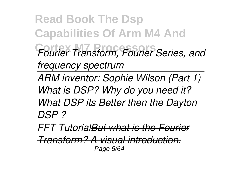**Read Book The Dsp Capabilities Of Arm M4 And Cortex M7 Processors** *Fourier Transform, Fourier Series, and frequency spectrum* 

*ARM inventor: Sophie Wilson (Part 1) What is DSP? Why do you need it? What DSP its Better then the Dayton DSP ?* 

*FFT TutorialBut what is the Fourier*

*Transform? A visual introduction.* Page 5/64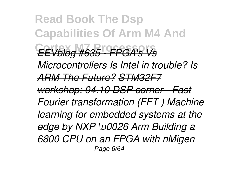**Read Book The Dsp Capabilities Of Arm M4 And Cortex M7 Processors** *EEVblog #635 - FPGA's Vs Microcontrollers Is Intel in trouble? Is ARM The Future? STM32F7 workshop: 04.10 DSP corner - Fast Fourier transformation (FFT ) Machine learning for embedded systems at the edge by NXP \u0026 Arm Building a 6800 CPU on an FPGA with nMigen* Page 6/64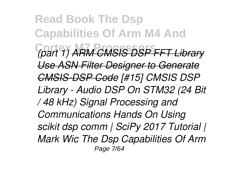**Read Book The Dsp Capabilities Of Arm M4 And Cortex M7 Processors** *(part 1) ARM CMSIS DSP FFT Library Use ASN Filter Designer to Generate CMSIS-DSP Code [#15] CMSIS DSP Library - Audio DSP On STM32 (24 Bit / 48 kHz) Signal Processing and Communications Hands On Using scikit dsp comm | SciPy 2017 Tutorial | Mark Wic The Dsp Capabilities Of Arm* Page 7/64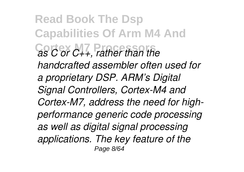**Read Book The Dsp Capabilities Of Arm M4 And Cortex M7 Processors** *as C or C++, rather than the handcrafted assembler often used for a proprietary DSP. ARM's Digital Signal Controllers, Cortex-M4 and Cortex-M7, address the need for highperformance generic code processing as well as digital signal processing applications. The key feature of the* Page 8/64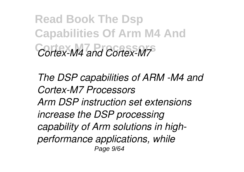**Read Book The Dsp Capabilities Of Arm M4 And Cortex M7 Processors** *Cortex-M4 and Cortex-M7*

*The DSP capabilities of ARM -M4 and Cortex-M7 Processors Arm DSP instruction set extensions increase the DSP processing capability of Arm solutions in highperformance applications, while* Page 9/64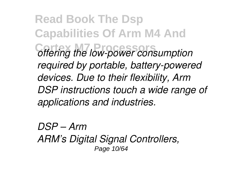**Read Book The Dsp Capabilities Of Arm M4 And Cortex M7 Processors** *offering the low-power consumption required by portable, battery-powered devices. Due to their flexibility, Arm DSP instructions touch a wide range of applications and industries.*

*DSP – Arm ARM's Digital Signal Controllers,* Page 10/64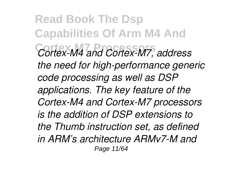**Read Book The Dsp Capabilities Of Arm M4 And Cortex M7 Processors** *Cortex-M4 and Cortex-M7, address the need for high-performance generic code processing as well as DSP applications. The key feature of the Cortex-M4 and Cortex-M7 processors is the addition of DSP extensions to the Thumb instruction set, as defined in ARM's architecture ARMv7-M and* Page 11/64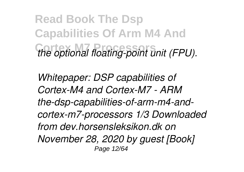**Read Book The Dsp Capabilities Of Arm M4 And Cortex M7 Processors** *the optional floating-point unit (FPU).*

*Whitepaper: DSP capabilities of Cortex-M4 and Cortex-M7 - ARM the-dsp-capabilities-of-arm-m4-andcortex-m7-processors 1/3 Downloaded from dev.horsensleksikon.dk on November 28, 2020 by guest [Book]* Page 12/64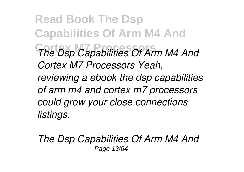**Read Book The Dsp Capabilities Of Arm M4 And Cortex M7 Processors** *The Dsp Capabilities Of Arm M4 And Cortex M7 Processors Yeah, reviewing a ebook the dsp capabilities of arm m4 and cortex m7 processors could grow your close connections listings.*

*The Dsp Capabilities Of Arm M4 And* Page 13/64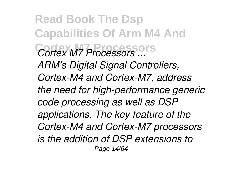**Read Book The Dsp Capabilities Of Arm M4 And Cortex M7 Processors** *Cortex M7 Processors ... ARM's Digital Signal Controllers, Cortex-M4 and Cortex-M7, address the need for high-performance generic code processing as well as DSP applications. The key feature of the Cortex-M4 and Cortex-M7 processors is the addition of DSP extensions to* Page 14/64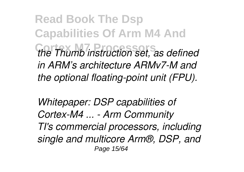**Read Book The Dsp Capabilities Of Arm M4 And Cortex M7 Processors** *the Thumb instruction set, as defined in ARM's architecture ARMv7-M and the optional floating-point unit (FPU).*

*Whitepaper: DSP capabilities of Cortex-M4 ... - Arm Community TI's commercial processors, including single and multicore Arm®, DSP, and* Page 15/64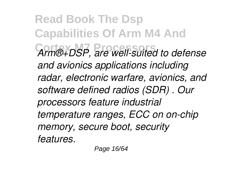**Read Book The Dsp Capabilities Of Arm M4 And Cortex M7 Processors** *Arm®+DSP, are well-suited to defense and avionics applications including radar, electronic warfare, avionics, and software defined radios (SDR) . Our processors feature industrial temperature ranges, ECC on on-chip memory, secure boot, security features.*

Page 16/64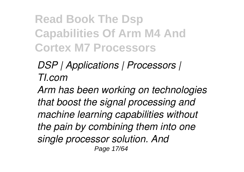### **Read Book The Dsp Capabilities Of Arm M4 And Cortex M7 Processors**

#### *DSP | Applications | Processors | TI.com*

*Arm has been working on technologies that boost the signal processing and machine learning capabilities without the pain by combining them into one single processor solution. And* Page 17/64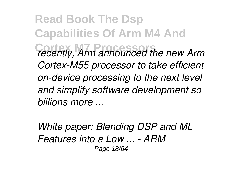**Read Book The Dsp Capabilities Of Arm M4 And Cortex M7 Processors** *recently, Arm announced the new Arm Cortex-M55 processor to take efficient on-device processing to the next level and simplify software development so billions more ...*

*White paper: Blending DSP and ML Features into a Low ... - ARM* Page 18/64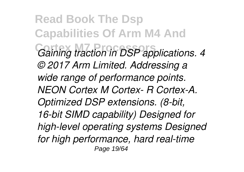**Read Book The Dsp Capabilities Of Arm M4 And**  $Gaining$  traction in DSP applications. 4 *© 2017 Arm Limited. Addressing a wide range of performance points. NEON Cortex M Cortex- R Cortex-A. Optimized DSP extensions. (8-bit, 16-bit SIMD capability) Designed for high-level operating systems Designed for high performance, hard real-time* Page 19/64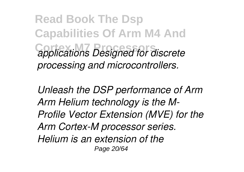**Read Book The Dsp Capabilities Of Arm M4 And Cortex M7 Processors** *applications Designed for discrete processing and microcontrollers.*

*Unleash the DSP performance of Arm Arm Helium technology is the M-Profile Vector Extension (MVE) for the Arm Cortex-M processor series. Helium is an extension of the* Page 20/64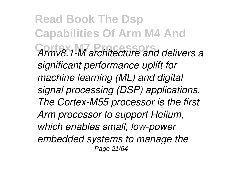**Read Book The Dsp Capabilities Of Arm M4 And Cortex M7 Processors** *Armv8.1-M architecture and delivers a significant performance uplift for machine learning (ML) and digital signal processing (DSP) applications. The Cortex-M55 processor is the first Arm processor to support Helium, which enables small, low-power embedded systems to manage the* Page 21/64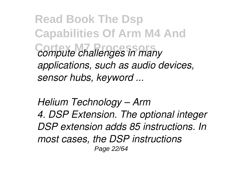**Read Book The Dsp Capabilities Of Arm M4 And**  $compute$  *challenges in many applications, such as audio devices, sensor hubs, keyword ...*

*Helium Technology – Arm 4. DSP Extension. The optional integer DSP extension adds 85 instructions. In most cases, the DSP instructions* Page 22/64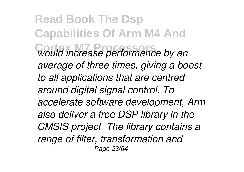**Read Book The Dsp Capabilities Of Arm M4 And Cortex M7 Processors** *would increase performance by an average of three times, giving a boost to all applications that are centred around digital signal control. To accelerate software development, Arm also deliver a free DSP library in the CMSIS project. The library contains a range of filter, transformation and* Page 23/64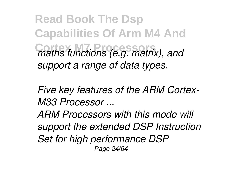**Read Book The Dsp Capabilities Of Arm M4 And**  $C$ *maths functions (e.g. matrix), and support a range of data types.*

*Five key features of the ARM Cortex-M33 Processor ...*

*ARM Processors with this mode will support the extended DSP Instruction Set for high performance DSP* Page 24/64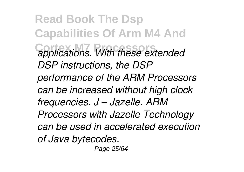**Read Book The Dsp Capabilities Of Arm M4 And Cortex M7 Processors** *applications. With these extended DSP instructions, the DSP performance of the ARM Processors can be increased without high clock frequencies. J – Jazelle. ARM Processors with Jazelle Technology can be used in accelerated execution of Java bytecodes.*

Page 25/64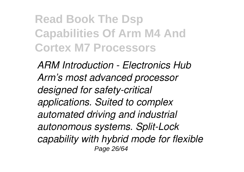### **Read Book The Dsp Capabilities Of Arm M4 And Cortex M7 Processors**

*ARM Introduction - Electronics Hub Arm's most advanced processor designed for safety-critical applications. Suited to complex automated driving and industrial autonomous systems. Split-Lock capability with hybrid mode for flexible* Page 26/64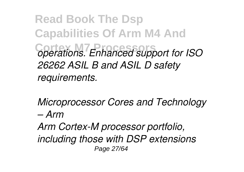**Read Book The Dsp Capabilities Of Arm M4 And**  $C$ <sub>operations. Enhanced support for ISO</sub> *26262 ASIL B and ASIL D safety requirements.*

*Microprocessor Cores and Technology – Arm*

*Arm Cortex-M processor portfolio, including those with DSP extensions* Page 27/64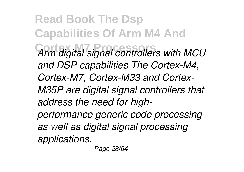**Read Book The Dsp Capabilities Of Arm M4 And Cortex M7 Processors** *Arm digital signal controllers with MCU and DSP capabilities The Cortex-M4, Cortex-M7, Cortex-M33 and Cortex-M35P are digital signal controllers that address the need for highperformance generic code processing as well as digital signal processing applications.*

Page 28/64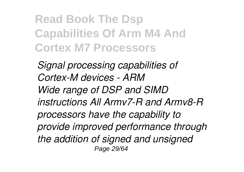### **Read Book The Dsp Capabilities Of Arm M4 And Cortex M7 Processors**

*Signal processing capabilities of Cortex-M devices - ARM Wide range of DSP and SIMD instructions All Armv7-R and Armv8-R processors have the capability to provide improved performance through the addition of signed and unsigned* Page 29/64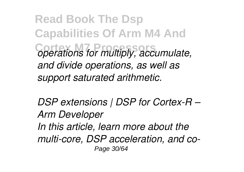**Read Book The Dsp Capabilities Of Arm M4 And**  $C$ operations for multiply, accumulate, *and divide operations, as well as support saturated arithmetic.*

*DSP extensions | DSP for Cortex-R – Arm Developer In this article, learn more about the multi-core, DSP acceleration, and co-*Page 30/64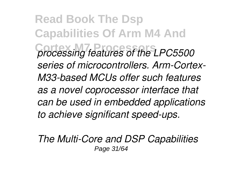**Read Book The Dsp Capabilities Of Arm M4 And Cortex M7 Processors** *processing features of the LPC5500 series of microcontrollers. Arm-Cortex-M33-based MCUs offer such features as a novel coprocessor interface that can be used in embedded applications to achieve significant speed-ups.*

*The Multi-Core and DSP Capabilities* Page 31/64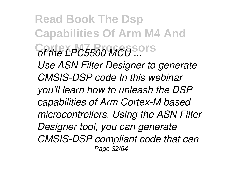**Read Book The Dsp Capabilities Of Arm M4 And Cortex M7 Processors** *of the LPC5500 MCU ... Use ASN Filter Designer to generate CMSIS-DSP code In this webinar you'll learn how to unleash the DSP capabilities of Arm Cortex-M based microcontrollers. Using the ASN Filter Designer tool, you can generate CMSIS-DSP compliant code that can* Page 32/64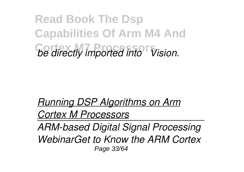**Read Book The Dsp Capabilities Of Arm M4 And Cortex M7 Processors** *be directly imported into µVision.*

*Running DSP Algorithms on Arm Cortex M Processors*

*ARM-based Digital Signal Processing WebinarGet to Know the ARM Cortex* Page 33/64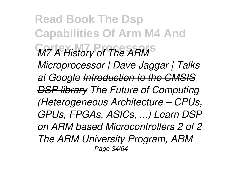**Read Book The Dsp Capabilities Of Arm M4 And** *M7 A History of The ARM Microprocessor | Dave Jaggar | Talks at Google Introduction to the CMSIS DSP library The Future of Computing (Heterogeneous Architecture – CPUs, GPUs, FPGAs, ASICs, ...) Learn DSP on ARM based Microcontrollers 2 of 2 The ARM University Program, ARM* Page 34/64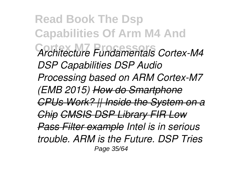**Read Book The Dsp Capabilities Of Arm M4 And Cortex M7 Processors** *Architecture Fundamentals Cortex-M4 DSP Capabilities DSP Audio Processing based on ARM Cortex-M7 (EMB 2015) How do Smartphone CPUs Work? || Inside the System on a Chip CMSIS DSP Library FIR Low Pass Filter example Intel is in serious trouble. ARM is the Future. DSP Tries* Page 35/64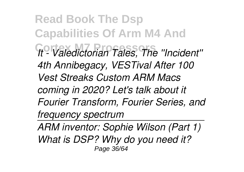**Read Book The Dsp Capabilities Of Arm M4 And Cortex M7 Processors** *It - Valedictorian Tales, The ''Incident'' 4th Annibegacy, VESTival After 100 Vest Streaks Custom ARM Macs coming in 2020? Let's talk about it Fourier Transform, Fourier Series, and frequency spectrum* 

*ARM inventor: Sophie Wilson (Part 1) What is DSP? Why do you need it?* Page 36/64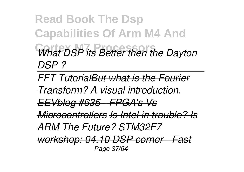**Read Book The Dsp Capabilities Of Arm M4 And Cortex M7 Processors** *What DSP its Better then the Dayton DSP ?* 

*FFT TutorialBut what is the Fourier*

*Transform? A visual introduction.*

*EEVblog #635 - FPGA's Vs*

*Microcontrollers Is Intel in trouble? Is*

*ARM The Future? STM32F7*

*workshop: 04.10 DSP corner - Fast* Page 37/64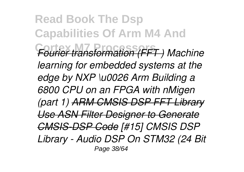**Read Book The Dsp Capabilities Of Arm M4 And Cortex M7 Processors** *Fourier transformation (FFT ) Machine learning for embedded systems at the edge by NXP \u0026 Arm Building a 6800 CPU on an FPGA with nMigen (part 1) ARM CMSIS DSP FFT Library Use ASN Filter Designer to Generate CMSIS-DSP Code [#15] CMSIS DSP Library - Audio DSP On STM32 (24 Bit* Page 38/64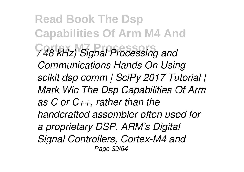**Read Book The Dsp Capabilities Of Arm M4 And Cortex M7 Processors** */ 48 kHz) Signal Processing and Communications Hands On Using scikit dsp comm | SciPy 2017 Tutorial | Mark Wic The Dsp Capabilities Of Arm as C or C++, rather than the handcrafted assembler often used for a proprietary DSP. ARM's Digital Signal Controllers, Cortex-M4 and* Page 39/64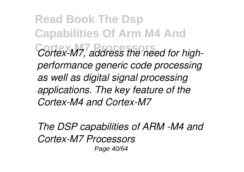**Read Book The Dsp Capabilities Of Arm M4 And**  $Cortex-M7, address the need for high$ *performance generic code processing as well as digital signal processing applications. The key feature of the Cortex-M4 and Cortex-M7*

*The DSP capabilities of ARM -M4 and Cortex-M7 Processors* Page 40/64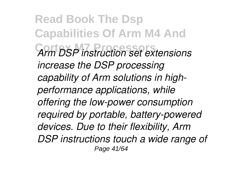**Read Book The Dsp Capabilities Of Arm M4 And Cortex M7 Processors** *Arm DSP instruction set extensions increase the DSP processing capability of Arm solutions in highperformance applications, while offering the low-power consumption required by portable, battery-powered devices. Due to their flexibility, Arm DSP instructions touch a wide range of* Page 41/64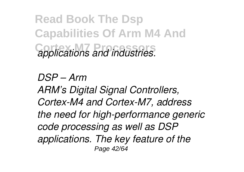**Read Book The Dsp Capabilities Of Arm M4 And Cortex M7 Processors** *applications and industries.*

*DSP – Arm ARM's Digital Signal Controllers, Cortex-M4 and Cortex-M7, address the need for high-performance generic code processing as well as DSP applications. The key feature of the* Page 42/64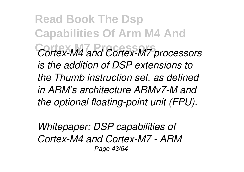**Read Book The Dsp Capabilities Of Arm M4 And Cortex M7 Processors** *Cortex-M4 and Cortex-M7 processors is the addition of DSP extensions to the Thumb instruction set, as defined in ARM's architecture ARMv7-M and the optional floating-point unit (FPU).*

*Whitepaper: DSP capabilities of Cortex-M4 and Cortex-M7 - ARM* Page 43/64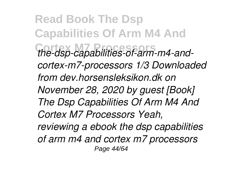**Read Book The Dsp Capabilities Of Arm M4 And Cortex M7 Processors** *the-dsp-capabilities-of-arm-m4-andcortex-m7-processors 1/3 Downloaded from dev.horsensleksikon.dk on November 28, 2020 by guest [Book] The Dsp Capabilities Of Arm M4 And Cortex M7 Processors Yeah, reviewing a ebook the dsp capabilities of arm m4 and cortex m7 processors* Page 44/64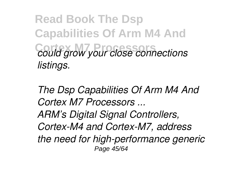**Read Book The Dsp Capabilities Of Arm M4 And**  $\overline{\text{could}}$  grow your close connections *listings.*

*The Dsp Capabilities Of Arm M4 And Cortex M7 Processors ... ARM's Digital Signal Controllers, Cortex-M4 and Cortex-M7, address the need for high-performance generic* Page 45/64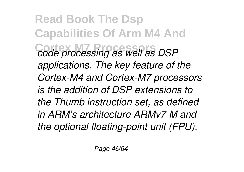**Read Book The Dsp Capabilities Of Arm M4 And Cortex M7 Processors** *code processing as well as DSP applications. The key feature of the Cortex-M4 and Cortex-M7 processors is the addition of DSP extensions to the Thumb instruction set, as defined in ARM's architecture ARMv7-M and the optional floating-point unit (FPU).*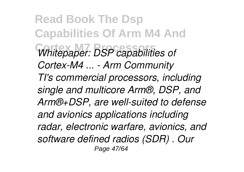**Read Book The Dsp Capabilities Of Arm M4 And Cortex M7 Processors** *Whitepaper: DSP capabilities of Cortex-M4 ... - Arm Community TI's commercial processors, including single and multicore Arm®, DSP, and Arm®+DSP, are well-suited to defense and avionics applications including radar, electronic warfare, avionics, and software defined radios (SDR) . Our* Page 47/64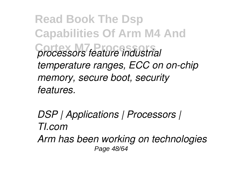**Read Book The Dsp Capabilities Of Arm M4 And Cortex M7 Processors** *processors feature industrial temperature ranges, ECC on on-chip memory, secure boot, security features.*

*DSP | Applications | Processors | TI.com Arm has been working on technologies* Page 48/64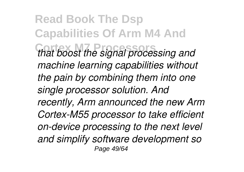**Read Book The Dsp Capabilities Of Arm M4 And Cortex M7 Processors** *that boost the signal processing and machine learning capabilities without the pain by combining them into one single processor solution. And recently, Arm announced the new Arm Cortex-M55 processor to take efficient on-device processing to the next level and simplify software development so* Page 49/64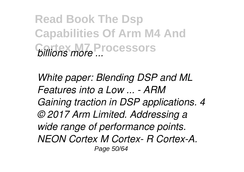**Read Book The Dsp Capabilities Of Arm M4 And Cortex M7 Processors** *billions more ...*

*White paper: Blending DSP and ML Features into a Low ... - ARM Gaining traction in DSP applications. 4 © 2017 Arm Limited. Addressing a wide range of performance points. NEON Cortex M Cortex- R Cortex-A.* Page 50/64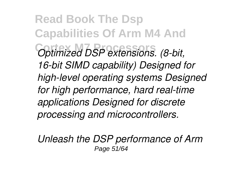**Read Book The Dsp Capabilities Of Arm M4 And Cortex M7 Processors** *Optimized DSP extensions. (8-bit, 16-bit SIMD capability) Designed for high-level operating systems Designed for high performance, hard real-time applications Designed for discrete processing and microcontrollers.*

*Unleash the DSP performance of Arm* Page 51/64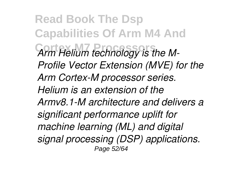**Read Book The Dsp Capabilities Of Arm M4 And Cortex M7 Processors** *Arm Helium technology is the M-Profile Vector Extension (MVE) for the Arm Cortex-M processor series. Helium is an extension of the Armv8.1-M architecture and delivers a significant performance uplift for machine learning (ML) and digital signal processing (DSP) applications.* Page 52/64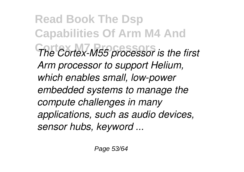**Read Book The Dsp Capabilities Of Arm M4 And The Cortex-M55 processor is the first** *Arm processor to support Helium, which enables small, low-power embedded systems to manage the compute challenges in many applications, such as audio devices, sensor hubs, keyword ...*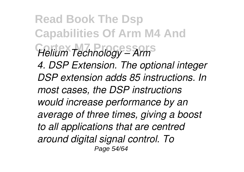**Read Book The Dsp Capabilities Of Arm M4 And Cortex M7 Processors** *Helium Technology – Arm 4. DSP Extension. The optional integer DSP extension adds 85 instructions. In most cases, the DSP instructions would increase performance by an average of three times, giving a boost to all applications that are centred around digital signal control. To* Page 54/64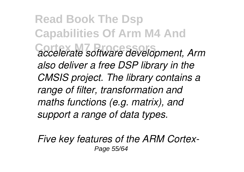**Read Book The Dsp Capabilities Of Arm M4 And Cortex M7 Processors** *accelerate software development, Arm also deliver a free DSP library in the CMSIS project. The library contains a range of filter, transformation and maths functions (e.g. matrix), and support a range of data types.*

*Five key features of the ARM Cortex-*Page 55/64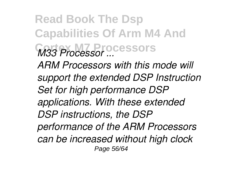**Read Book The Dsp Capabilities Of Arm M4 And Cortex M7 Processors** *M33 Processor ...*

*ARM Processors with this mode will support the extended DSP Instruction Set for high performance DSP applications. With these extended DSP instructions, the DSP performance of the ARM Processors can be increased without high clock* Page 56/64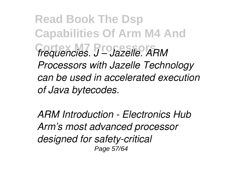**Read Book The Dsp Capabilities Of Arm M4 And Cortex M7 Processors** *frequencies. J – Jazelle. ARM Processors with Jazelle Technology can be used in accelerated execution of Java bytecodes.*

*ARM Introduction - Electronics Hub Arm's most advanced processor designed for safety-critical* Page 57/64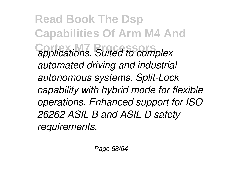**Read Book The Dsp Capabilities Of Arm M4 And Cortex M7 Processors** *applications. Suited to complex automated driving and industrial autonomous systems. Split-Lock capability with hybrid mode for flexible operations. Enhanced support for ISO 26262 ASIL B and ASIL D safety requirements.*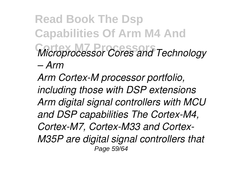## **Read Book The Dsp Capabilities Of Arm M4 And Cortex M7 Processors** *Microprocessor Cores and Technology – Arm*

*Arm Cortex-M processor portfolio, including those with DSP extensions Arm digital signal controllers with MCU and DSP capabilities The Cortex-M4, Cortex-M7, Cortex-M33 and Cortex-M35P are digital signal controllers that* Page 59/64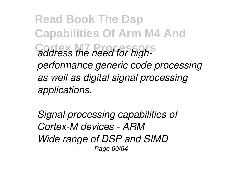**Read Book The Dsp Capabilities Of Arm M4 And Cortex M7 Processors** *address the need for highperformance generic code processing as well as digital signal processing applications.*

*Signal processing capabilities of Cortex-M devices - ARM Wide range of DSP and SIMD* Page 60/64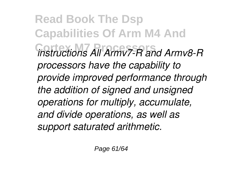**Read Book The Dsp Capabilities Of Arm M4 And Cortex M7 Processors** *instructions All Armv7-R and Armv8-R processors have the capability to provide improved performance through the addition of signed and unsigned operations for multiply, accumulate, and divide operations, as well as support saturated arithmetic.*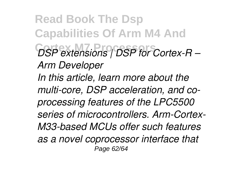**Read Book The Dsp Capabilities Of Arm M4 And Cortex M7 Processors** *DSP extensions | DSP for Cortex-R – Arm Developer In this article, learn more about the multi-core, DSP acceleration, and coprocessing features of the LPC5500 series of microcontrollers. Arm-Cortex-M33-based MCUs offer such features as a novel coprocessor interface that* Page 62/64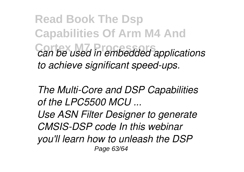**Read Book The Dsp Capabilities Of Arm M4 And**  $c$ an be used in embedded applications *to achieve significant speed-ups.*

*The Multi-Core and DSP Capabilities of the LPC5500 MCU ...*

*Use ASN Filter Designer to generate CMSIS-DSP code In this webinar you'll learn how to unleash the DSP* Page 63/64